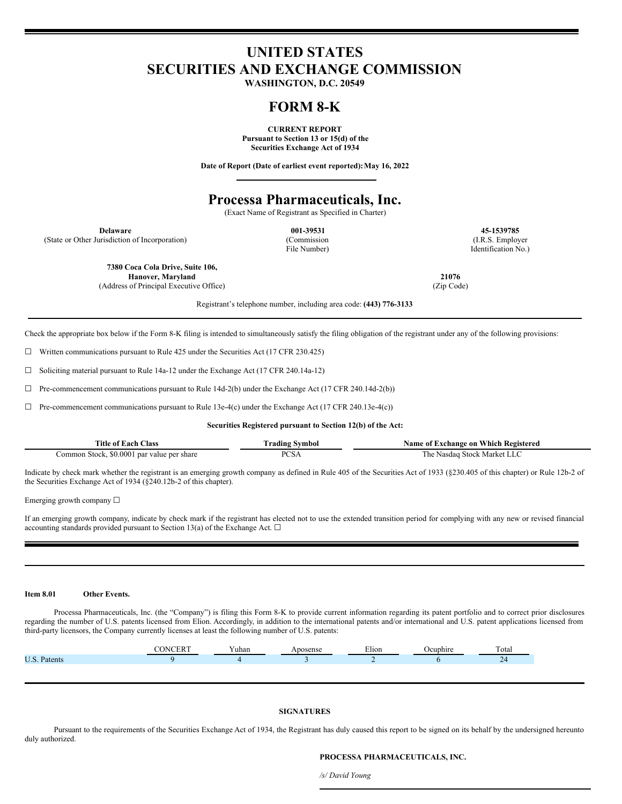# **UNITED STATES SECURITIES AND EXCHANGE COMMISSION**

**WASHINGTON, D.C. 20549**

## **FORM 8-K**

**CURRENT REPORT Pursuant to Section 13 or 15(d) of the Securities Exchange Act of 1934**

**Date of Report (Date of earliest event reported):May 16, 2022**

### **Processa Pharmaceuticals, Inc.**

(Exact Name of Registrant as Specified in Charter)

(State or Other Jurisdiction of Incorporation) (Commission

File Number)

**Delaware 001-39531 45-1539785** (I.R.S. Employer Identification No.)

**7380 Coca Cola Drive, Suite 106, Hanover, Maryland** (Address of Principal Executive Office)

**21076** (Zip Code)

Registrant's telephone number, including area code: **(443) 776-3133**

Check the appropriate box below if the Form 8-K filing is intended to simultaneously satisfy the filing obligation of the registrant under any of the following provisions:

☐ Written communications pursuant to Rule 425 under the Securities Act (17 CFR 230.425)

 $\Box$  Soliciting material pursuant to Rule 14a-12 under the Exchange Act (17 CFR 240.14a-12)

 $\Box$  Pre-commencement communications pursuant to Rule 14d-2(b) under the Exchange Act (17 CFR 240.14d-2(b))

 $\Box$  Pre-commencement communications pursuant to Rule 13e-4(c) under the Exchange Act (17 CFR 240.13e-4(c))

**Securities Registered pursuant to Section 12(b) of the Act:**

| Title<br>Aas:<br>#ach *<br>ഷ                                               | radınc<br>svmbo      | Registered<br>Which<br>-on<br>vame<br>–∡xchange<br>-01 |  |  |
|----------------------------------------------------------------------------|----------------------|--------------------------------------------------------|--|--|
| , 0001<br>. ommon '<br>share<br>stoc'<br>` ner .<br>valu<br>nat<br>``<br>. | ∩∩י<br>ັບມ<br>$   -$ | stock<br>Marke'<br>Nasdag<br>- 115                     |  |  |

Indicate by check mark whether the registrant is an emerging growth company as defined in Rule 405 of the Securities Act of 1933 (§230.405 of this chapter) or Rule 12b-2 of the Securities Exchange Act of 1934 (§240.12b-2 of this chapter).

Emerging growth company ☐

If an emerging growth company, indicate by check mark if the registrant has elected not to use the extended transition period for complying with any new or revised financial accounting standards provided pursuant to Section 13(a) of the Exchange Act.  $\Box$ 

#### **Item 8.01 Other Events.**

Processa Pharmaceuticals, Inc. (the "Company") is filing this Form 8-K to provide current information regarding its patent portfolio and to correct prior disclosures regarding the number of U.S. patents licensed from Elion. Accordingly, in addition to the international patents and/or international and U.S. patent applications licensed from third-party licensors, the Company currently licenses at least the following number of U.S. patents:

|                   | ′uhan | Elion | ----- | $\sim$<br>otal |
|-------------------|-------|-------|-------|----------------|
| НS<br>atents<br>. |       |       |       | $\sim$<br>$-1$ |
|                   |       |       |       |                |

#### **SIGNATURES**

Pursuant to the requirements of the Securities Exchange Act of 1934, the Registrant has duly caused this report to be signed on its behalf by the undersigned hereunto duly authorized.

#### **PROCESSA PHARMACEUTICALS, INC.**

*/s/ David Young*